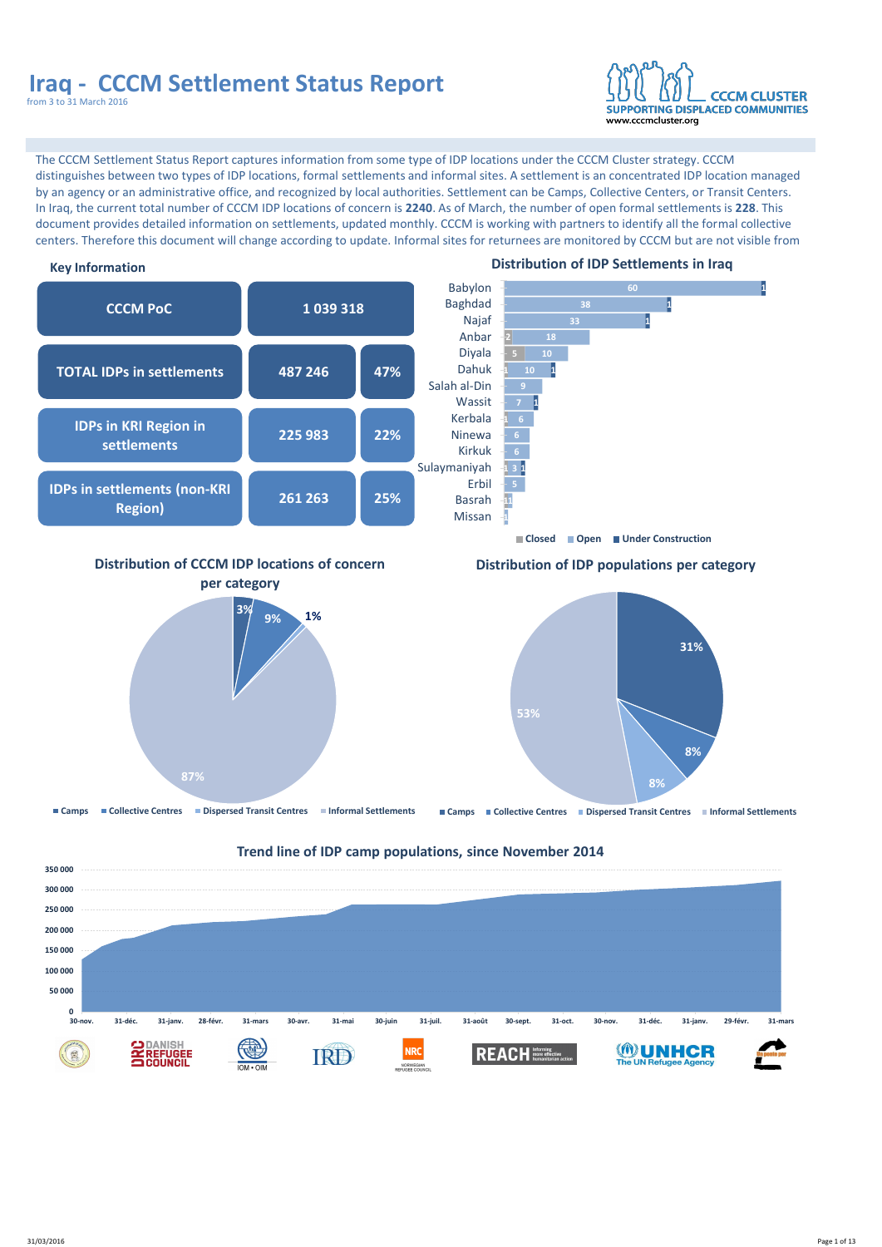

#### **Key Information**

The CCCM Settlement Status Report captures information from some type of IDP locations under the CCCM Cluster strategy. CCCM distinguishes between two types of IDP locations, formal settlements and informal sites. A settlement is an concentrated IDP location managed by an agency or an administrative office, and recognized by local authorities. Settlement can be Camps, Collective Centers, or Transit Centers. In Iraq, the current total number of CCCM IDP locations of concern is **2240**. As of March, the number of open formal settlements is **228**. This document provides detailed information on settlements, updated monthly. CCCM is working with partners to identify all the formal collective centers. Therefore this document will change according to update. Informal sites for returnees are monitored by CCCM but are not visible from







#### **Trend line of IDP camp populations, since November 2014**

#### **Distribution of IDP Settlements in Iraq**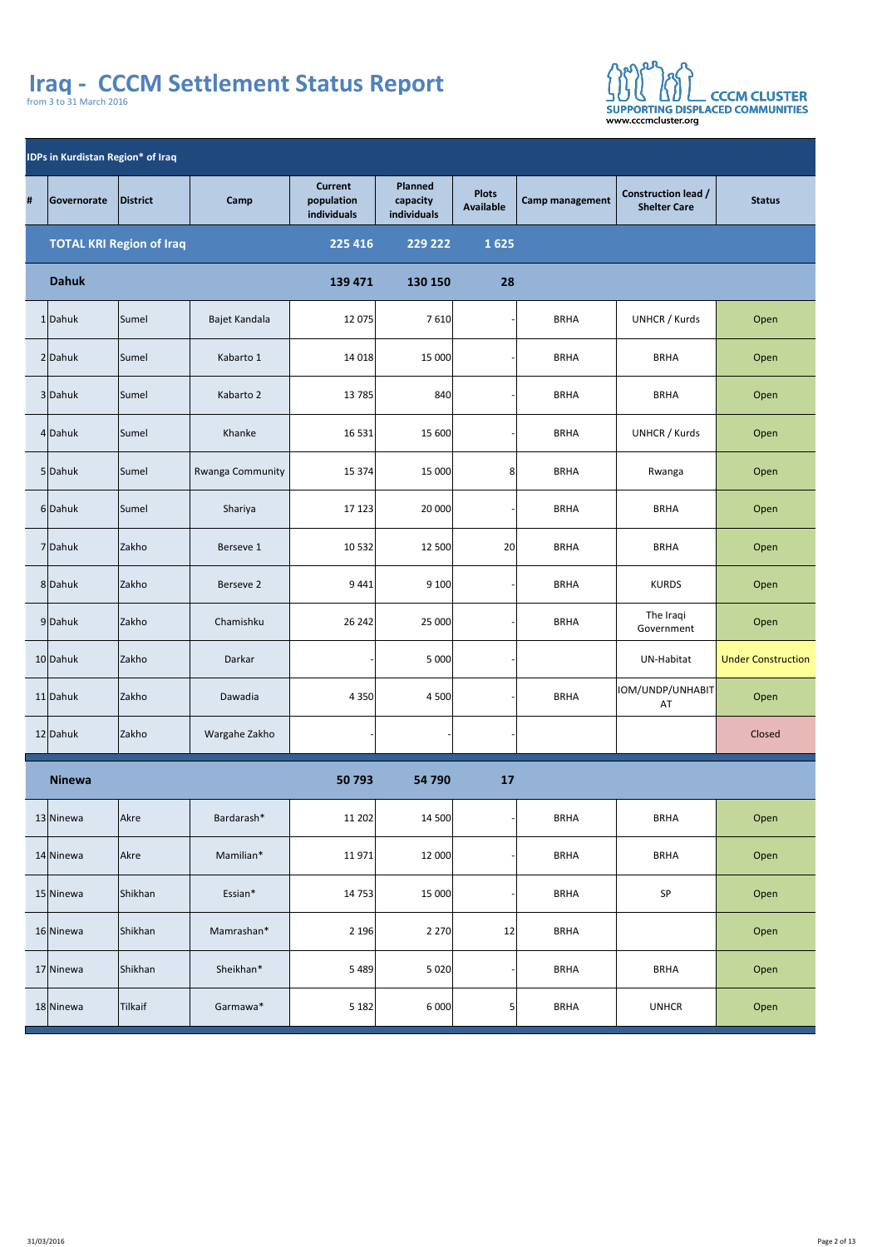

| <b>IDPs in Kurdistan Region* of Iraq</b> |               |                                 |                         |                                             |                                                  |                                  |                        |                                                   |                           |  |  |
|------------------------------------------|---------------|---------------------------------|-------------------------|---------------------------------------------|--------------------------------------------------|----------------------------------|------------------------|---------------------------------------------------|---------------------------|--|--|
| #                                        | Governorate   | District                        | Camp                    | <b>Current</b><br>population<br>individuals | <b>Planned</b><br>capacity<br><b>individuals</b> | <b>Plots</b><br><b>Available</b> | <b>Camp management</b> | <b>Construction lead /</b><br><b>Shelter Care</b> | <b>Status</b>             |  |  |
|                                          |               | <b>TOTAL KRI Region of Iraq</b> |                         | 225 416                                     | 229 222                                          | 1625                             |                        |                                                   |                           |  |  |
|                                          | <b>Dahuk</b>  |                                 |                         | 139 471                                     | 130 150                                          | 28                               |                        |                                                   |                           |  |  |
|                                          | 1Dahuk        | Sumel                           | Bajet Kandala           | 12 075                                      | 7 6 10                                           |                                  | <b>BRHA</b>            | UNHCR / Kurds                                     | Open                      |  |  |
|                                          | 2 Dahuk       | Sumel                           | Kabarto 1               | 14 018                                      | 15 000                                           |                                  | <b>BRHA</b>            | <b>BRHA</b>                                       | Open                      |  |  |
|                                          | 3 Dahuk       | Sumel                           | Kabarto 2               | 13 7 85                                     | 840                                              |                                  | <b>BRHA</b>            | <b>BRHA</b>                                       | Open                      |  |  |
|                                          | 4 Dahuk       | Sumel                           | Khanke                  | 16 5 31                                     | 15 600                                           |                                  | <b>BRHA</b>            | UNHCR / Kurds                                     | Open                      |  |  |
|                                          | 5 Dahuk       | Sumel                           | <b>Rwanga Community</b> | 15374                                       | 15 000                                           | 8                                | <b>BRHA</b>            | Rwanga                                            | Open                      |  |  |
|                                          | 6Dahuk        | Sumel                           | Shariya                 | 17123                                       | 20 000                                           |                                  | <b>BRHA</b>            | <b>BRHA</b>                                       | Open                      |  |  |
|                                          | 7 Dahuk       | Zakho                           | Berseve 1               | 10532                                       | 12 500                                           | 20                               | <b>BRHA</b>            | <b>BRHA</b>                                       | Open                      |  |  |
|                                          | 8Dahuk        | Zakho                           | Berseve 2               | 9 4 4 1                                     | 9 100                                            |                                  | <b>BRHA</b>            | <b>KURDS</b>                                      | Open                      |  |  |
|                                          | 9Dahuk        | Zakho                           | Chamishku               | 26 24 2                                     | 25 000                                           |                                  | <b>BRHA</b>            | The Iraqi<br>Government                           | Open                      |  |  |
|                                          | 10 Dahuk      | Zakho                           | Darkar                  |                                             | 5 0 0 0                                          |                                  |                        | <b>UN-Habitat</b>                                 | <b>Under Construction</b> |  |  |
|                                          | $11$ Dahuk    | Zakho                           | Dawadia                 | 4 3 5 0                                     | 4 500                                            |                                  | <b>BRHA</b>            | IOM/UNDP/UNHABIT<br>AT                            | Open                      |  |  |
|                                          | 12 Dahuk      | Zakho                           | Wargahe Zakho           |                                             |                                                  |                                  |                        |                                                   | Closed                    |  |  |
|                                          | <b>Ninewa</b> |                                 |                         | 50 793                                      | 54 790                                           | 17                               |                        |                                                   |                           |  |  |
|                                          | 13 Ninewa     | Akre                            | Bardarash*              | 11202                                       | 14 500                                           |                                  | <b>BRHA</b>            | <b>BRHA</b>                                       | Open                      |  |  |
|                                          | 14 Ninewa     | Akre                            | Mamilian*               | 11971                                       | 12 000                                           |                                  | <b>BRHA</b>            | <b>BRHA</b>                                       | Open                      |  |  |
|                                          | 15 Ninewa     | Shikhan                         | Essian*                 | 14 753                                      | 15 000                                           |                                  | <b>BRHA</b>            | <b>SP</b>                                         | Open                      |  |  |
|                                          | 16 Ninewa     | Shikhan                         | Mamrashan*              | 2 1 9 6                                     | 2 2 7 0                                          | 12                               | <b>BRHA</b>            |                                                   | Open                      |  |  |
|                                          | 17 Ninewa     | Shikhan                         | Sheikhan*               | 5 4 8 9                                     | 5020                                             |                                  | <b>BRHA</b>            | <b>BRHA</b>                                       | Open                      |  |  |

| 18 Ninewa | Tilkaif | Garmawa' | 5182 | 6 000 | <b>BRHA</b> | <b>UNHCR</b> | Open |
|-----------|---------|----------|------|-------|-------------|--------------|------|
|           |         |          |      |       |             |              |      |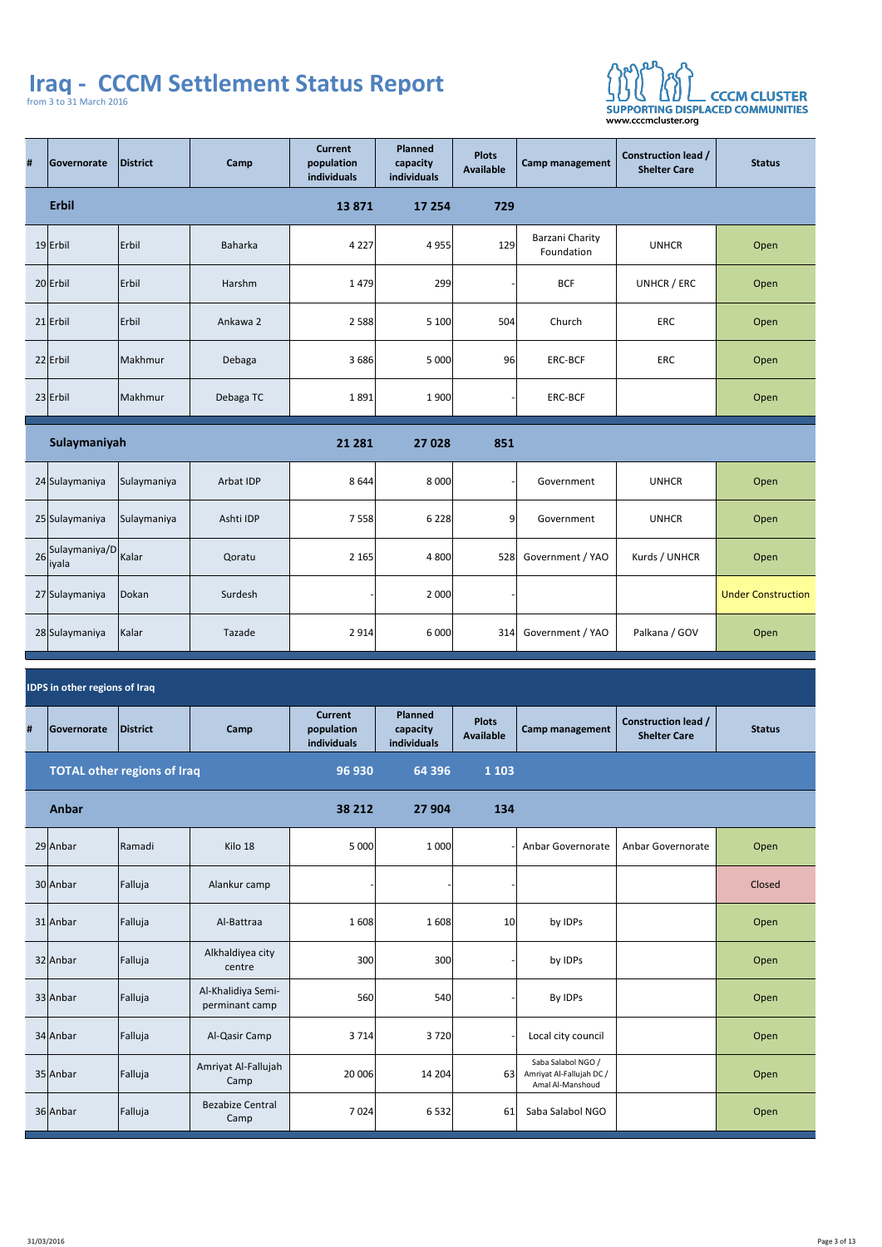

| #  | Governorate                          | District                    | Camp                                 | <b>Current</b><br>population<br><b>individuals</b> | <b>Planned</b><br>capacity<br><b>individuals</b> | <b>Plots</b><br><b>Available</b> | <b>Camp management</b>                                             | <b>Construction lead /</b><br><b>Shelter Care</b> | <b>Status</b>             |
|----|--------------------------------------|-----------------------------|--------------------------------------|----------------------------------------------------|--------------------------------------------------|----------------------------------|--------------------------------------------------------------------|---------------------------------------------------|---------------------------|
|    | <b>Erbil</b>                         |                             |                                      | 13871                                              | 17 254                                           | 729                              |                                                                    |                                                   |                           |
|    | $19$ Erbil                           | Erbil                       | <b>Baharka</b>                       | 4 2 2 7                                            | 4 9 5 5                                          | 129                              | Barzani Charity<br>Foundation                                      | <b>UNHCR</b>                                      | Open                      |
|    | 20 Erbil                             | Erbil                       | Harshm                               | 1479                                               | 299                                              |                                  | <b>BCF</b>                                                         | UNHCR / ERC                                       | Open                      |
|    | $21$   Erbil                         | Erbil                       | Ankawa 2                             | 2 5 8 8                                            | 5 100                                            | 504                              | Church                                                             | <b>ERC</b>                                        | Open                      |
|    | $22$ Erbil                           | Makhmur                     | Debaga                               | 3 6 8 6                                            | 5 000                                            | 96                               | <b>ERC-BCF</b>                                                     | <b>ERC</b>                                        | Open                      |
|    | $23$ Erbil                           | Makhmur                     | Debaga TC                            | 1891                                               | 1 900                                            |                                  | <b>ERC-BCF</b>                                                     |                                                   | Open                      |
|    | Sulaymaniyah                         |                             |                                      | 21 281                                             | 27 028                                           | 851                              |                                                                    |                                                   |                           |
|    | 24 Sulaymaniya                       | Sulaymaniya                 | <b>Arbat IDP</b>                     | 8644                                               | 8 0 0 0                                          |                                  | Government                                                         | <b>UNHCR</b>                                      | Open                      |
|    | 25 Sulaymaniya                       | Sulaymaniya                 | Ashti IDP                            | 7 5 5 8                                            | 6 2 2 8                                          | 9                                | Government                                                         | <b>UNHCR</b>                                      | Open                      |
| 26 | Sulaymaniya/D<br> iyala              | Kalar                       | Qoratu                               | 2165                                               | 4 800                                            | 528                              | Government / YAO                                                   | Kurds / UNHCR                                     | Open                      |
|    | 27 Sulaymaniya                       | Dokan                       | Surdesh                              |                                                    | 2 000                                            |                                  |                                                                    |                                                   | <b>Under Construction</b> |
|    | 28 Sulaymaniya                       | Kalar                       | Tazade                               | 2914                                               | 6 000                                            | 314                              | Government / YAO                                                   | Palkana / GOV                                     | Open                      |
|    | <b>IDPS in other regions of Iraq</b> |                             |                                      |                                                    |                                                  |                                  |                                                                    |                                                   |                           |
| #  | Governorate                          | District                    | Camp                                 | <b>Current</b><br>population<br>individuals        | <b>Planned</b><br>capacity<br>individuals        | <b>Plots</b><br><b>Available</b> | <b>Camp management</b>                                             | <b>Construction lead /</b><br><b>Shelter Care</b> | <b>Status</b>             |
|    |                                      | TOTAL other regions of Iraq |                                      | 96 930                                             | 64 396                                           | 1 1 0 3                          |                                                                    |                                                   |                           |
|    | <b>Anbar</b>                         |                             |                                      | 38 212                                             | 27 904                                           | 134                              |                                                                    |                                                   |                           |
|    | 29 Anbar                             | <b>Ramadi</b>               | Kilo 18                              | 5 000                                              | 1 000                                            |                                  | <b>Anbar Governorate</b>                                           | <b>Anbar Governorate</b>                          | Open                      |
|    | 30 Anbar                             | Falluja                     | Alankur camp                         |                                                    |                                                  |                                  |                                                                    |                                                   | Closed                    |
|    | $31$  Anbar                          | Falluja                     | Al-Battraa                           | 1608                                               | 1608                                             | 10                               | by IDPs                                                            |                                                   | Open                      |
|    | 32 Anbar                             | Falluja                     | Alkhaldiyea city<br>centre           | 300                                                | 300                                              |                                  | by IDPs                                                            |                                                   | Open                      |
|    | 33 Anbar                             | Falluja                     | Al-Khalidiya Semi-<br>perminant camp | 560                                                | 540                                              |                                  | By IDPs                                                            |                                                   | Open                      |
|    | 34 Anbar                             | Falluja                     | Al-Qasir Camp                        | 3714                                               | 3 7 2 0                                          |                                  | Local city council                                                 |                                                   | Open                      |
|    | 35 Anbar                             | Falluja                     | Amriyat Al-Fallujah<br>Camp          | 20 006                                             | 14204                                            | 63                               | Saba Salabol NGO /<br>Amriyat Al-Fallujah DC /<br>Amal Al-Manshoud |                                                   | Open                      |
|    | 36 Anbar                             | Falluja                     | <b>Bezabize Central</b><br>Camp      | 7024                                               | 6532                                             | 61                               | Saba Salabol NGO                                                   |                                                   | Open                      |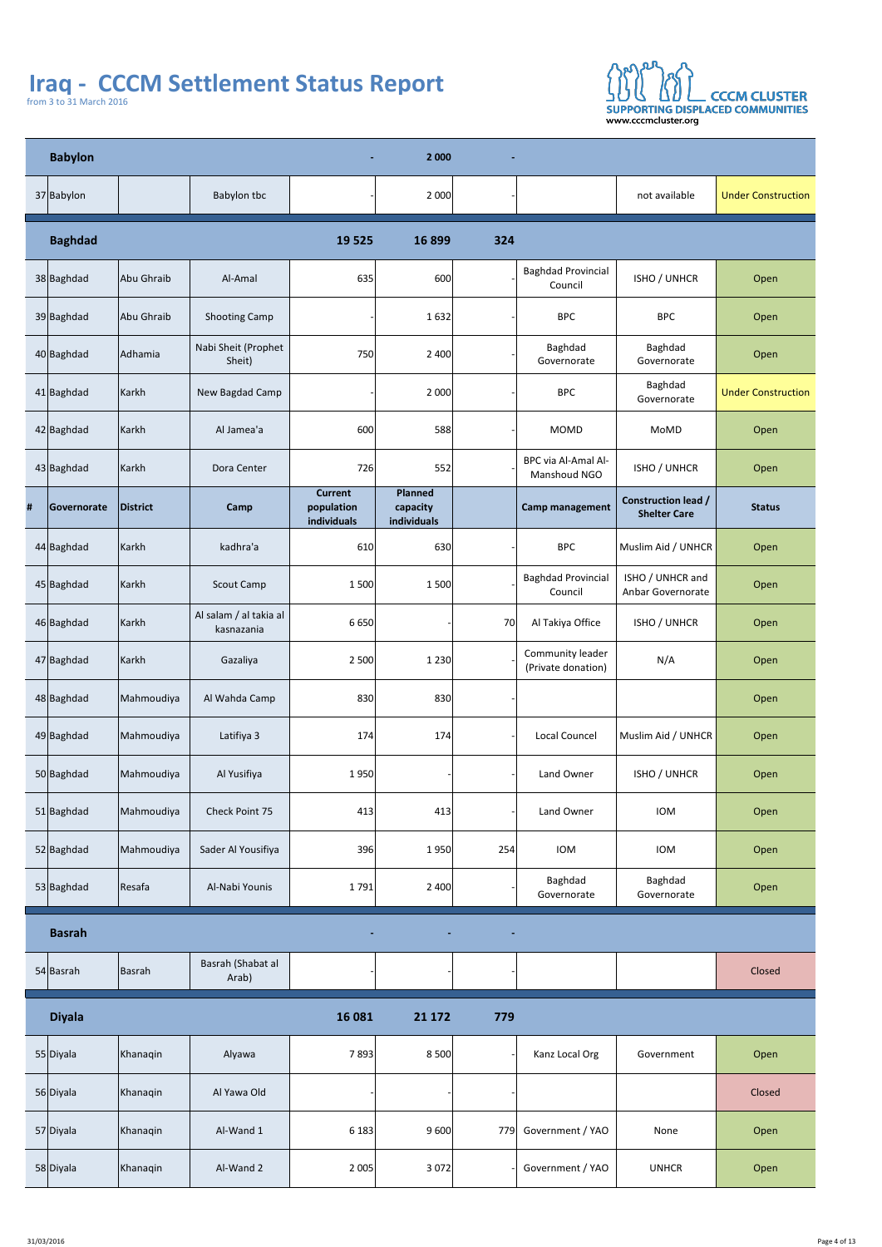

|   | <b>Babylon</b> |            |                                      | $\sim$ 10 $\pm$                             | 2 0 0 0                                          | $\blacksquare$ |                                               |                                                   |                           |
|---|----------------|------------|--------------------------------------|---------------------------------------------|--------------------------------------------------|----------------|-----------------------------------------------|---------------------------------------------------|---------------------------|
|   | 37 Babylon     |            | <b>Babylon tbc</b>                   |                                             | 2 000                                            |                |                                               | not available                                     | <b>Under Construction</b> |
|   | <b>Baghdad</b> |            |                                      | 19 5 25                                     | 16 899                                           | 324            |                                               |                                                   |                           |
|   | 38 Baghdad     | Abu Ghraib | Al-Amal                              | 635                                         | 600                                              |                | <b>Baghdad Provincial</b><br>Council          | <b>ISHO / UNHCR</b>                               | Open                      |
|   | 39 Baghdad     | Abu Ghraib | <b>Shooting Camp</b>                 |                                             | 1632                                             |                | <b>BPC</b>                                    | <b>BPC</b>                                        | Open                      |
|   | 40 Baghdad     | Adhamia    | Nabi Sheit (Prophet<br>Sheit)        | 750                                         | 2 400                                            |                | Baghdad<br>Governorate                        | <b>Baghdad</b><br>Governorate                     | Open                      |
|   | $41$ Baghdad   | Karkh      | New Bagdad Camp                      |                                             | 2 000                                            |                | <b>BPC</b>                                    | <b>Baghdad</b><br>Governorate                     | <b>Under Construction</b> |
|   | $42$ Baghdad   | Karkh      | Al Jamea'a                           | 600                                         | 588                                              |                | <b>MOMD</b>                                   | MoMD                                              | Open                      |
|   | 43 Baghdad     | Karkh      | Dora Center                          | 726                                         | 552                                              |                | <b>BPC via Al-Amal Al-</b><br>Manshoud NGO    | <b>ISHO / UNHCR</b>                               | Open                      |
| # | Governorate    | District   | Camp                                 | <b>Current</b><br>population<br>individuals | <b>Planned</b><br>capacity<br><b>individuals</b> |                | <b>Camp management</b>                        | <b>Construction lead /</b><br><b>Shelter Care</b> | <b>Status</b>             |
|   | $44$  Baghdad  | Karkh      | kadhra'a                             | 610                                         | 630                                              |                | <b>BPC</b>                                    | Muslim Aid / UNHCR                                | Open                      |
|   | 45 Baghdad     | Karkh      | <b>Scout Camp</b>                    | 1 500                                       | 1 500                                            |                | <b>Baghdad Provincial</b><br>Council          | ISHO / UNHCR and<br><b>Anbar Governorate</b>      | Open                      |
|   | 46 Baghdad     | Karkh      | Al salam / al takia al<br>kasnazania | 6 6 5 0                                     |                                                  | 70             | Al Takiya Office                              | <b>ISHO / UNHCR</b>                               | Open                      |
|   | 47 Baghdad     | Karkh      | Gazaliya                             | 2 500                                       | 1 2 3 0                                          |                | <b>Community leader</b><br>(Private donation) | N/A                                               | Open                      |
|   | 48 Baghdad     | Mahmoudiya | Al Wahda Camp                        | 830                                         | 830                                              |                |                                               |                                                   | Open                      |
|   | 49 Baghdad     | Mahmoudiya | Latifiya 3                           | 174                                         | 174                                              |                | <b>Local Councel</b>                          | Muslim Aid / UNHCR                                | Open                      |
|   | 50 Baghdad     | Mahmoudiya | Al Yusifiya                          | 1950                                        |                                                  |                | Land Owner                                    | <b>ISHO / UNHCR</b>                               | Open                      |
|   | 51 Baghdad     | Mahmoudiya | <b>Check Point 75</b>                | 413                                         | 413                                              |                | Land Owner                                    | <b>IOM</b>                                        | Open                      |
|   | 52 Baghdad     | Mahmoudiya | Sader Al Yousifiya                   | 396                                         | 1950                                             | 254            | <b>IOM</b>                                    | <b>IOM</b>                                        | Open                      |
|   | 53 Baghdad     | Resafa     | Al-Nabi Younis                       | 1791                                        | 2 400                                            |                | <b>Baghdad</b><br>Governorate                 | <b>Baghdad</b><br>Governorate                     | Open                      |
|   | <b>Basrah</b>  |            |                                      | $\sim$                                      | $\blacksquare$                                   | $\blacksquare$ |                                               |                                                   |                           |
|   | 54 Basrah      | Basrah     | Basrah (Shabat al<br>Arab)           |                                             |                                                  |                |                                               |                                                   | Closed                    |
|   | <b>Diyala</b>  |            |                                      | 16 081                                      | 21 172                                           | 779            |                                               |                                                   |                           |
|   | 55 Diyala      | Khanaqin   | Alyawa                               | 7893                                        | 8 500                                            |                | Kanz Local Org                                | Government                                        | Open                      |
|   | 56 Diyala      | Khanaqin   | Al Yawa Old                          |                                             |                                                  |                |                                               |                                                   | Closed                    |
|   | 57 Diyala      | Khanaqin   | Al-Wand 1                            | 6183                                        | 9600                                             |                | 779 Government / YAO                          | None                                              | Open                      |
|   | 58 Diyala      | Khanaqin   | Al-Wand 2                            | 2005                                        | 3 0 7 2                                          |                | Government / YAO                              | <b>UNHCR</b>                                      | Open                      |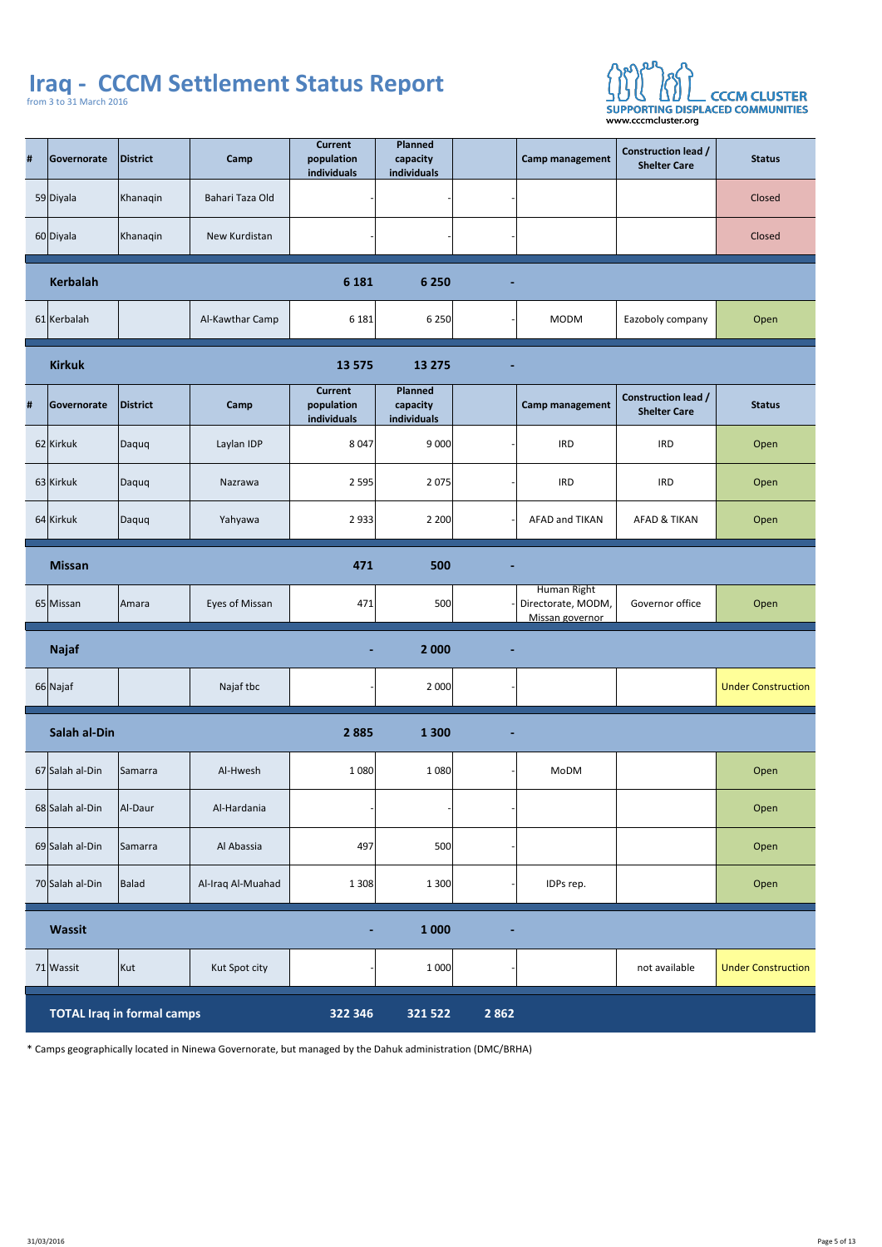

| # | Governorate         | District | Camp                  | <b>Current</b><br>population<br>individuals | <b>Planned</b><br>capacity<br>individuals |                | <b>Camp management</b>                               | <b>Construction lead /</b><br><b>Shelter Care</b> | <b>Status</b>             |
|---|---------------------|----------|-----------------------|---------------------------------------------|-------------------------------------------|----------------|------------------------------------------------------|---------------------------------------------------|---------------------------|
|   | 59 Diyala           | Khanaqin | Bahari Taza Old       |                                             |                                           |                |                                                      |                                                   | Closed                    |
|   | 60 Diyala           | Khanaqin | New Kurdistan         |                                             |                                           |                |                                                      |                                                   | Closed                    |
|   | <b>Kerbalah</b>     |          |                       | 6 1 8 1                                     | 6 2 5 0                                   | $\blacksquare$ |                                                      |                                                   |                           |
|   | 61 Kerbalah         |          | Al-Kawthar Camp       | 6181                                        | 6 2 5 0                                   |                | <b>MODM</b>                                          | Eazoboly company                                  | Open                      |
|   | <b>Kirkuk</b>       |          |                       | 13 5 75                                     | 13 275                                    | $\blacksquare$ |                                                      |                                                   |                           |
| # | Governorate         | District | Camp                  | <b>Current</b><br>population<br>individuals | <b>Planned</b><br>capacity<br>individuals |                | Camp management                                      | <b>Construction lead /</b><br><b>Shelter Care</b> | <b>Status</b>             |
|   | $62$  Kirkuk        | Daquq    | Laylan IDP            | 8047                                        | 9000                                      |                | <b>IRD</b>                                           | <b>IRD</b>                                        | Open                      |
|   | $63$ Kirkuk         | Daquq    | Nazrawa               | 2595                                        | 2075                                      |                | <b>IRD</b>                                           | <b>IRD</b>                                        | Open                      |
|   | 64 Kirkuk           | Daquq    | Yahyawa               | 2 9 3 3                                     | 2 2 0 0                                   |                | <b>AFAD and TIKAN</b>                                | <b>AFAD &amp; TIKAN</b>                           | Open                      |
|   | <b>Missan</b>       |          |                       | 471                                         | 500                                       | $\blacksquare$ |                                                      |                                                   |                           |
|   | 65 Missan           | Amara    | <b>Eyes of Missan</b> | 471                                         | 500                                       |                | Human Right<br>Directorate, MODM,<br>Missan governor | <b>Governor office</b>                            | Open                      |
|   | <b>Najaf</b>        |          |                       | $\blacksquare$                              | 2 0 0 0                                   | $\blacksquare$ |                                                      |                                                   |                           |
|   | 66 Najaf            |          | Najaf tbc             |                                             | 2000                                      |                |                                                      |                                                   | <b>Under Construction</b> |
|   | <b>Salah al-Din</b> |          |                       | 2 8 8 5                                     | 1 3 0 0                                   | $\blacksquare$ |                                                      |                                                   |                           |
|   | 67 Salah al-Din     | Samarra  | Al-Hwesh              | 1 0 8 0                                     | 1080                                      |                | MoDM                                                 |                                                   | Open                      |
|   | 68 Salah al-Din     | Al-Daur  | Al-Hardania           |                                             |                                           |                |                                                      |                                                   | Open                      |
|   | 69 Salah al-Din     | Samarra  | Al Abassia            | 497                                         | 500                                       |                |                                                      |                                                   | Open                      |
|   | 70 Salah al-Din     | Balad    | Al-Iraq Al-Muahad     | 1 3 0 8                                     | 1 300                                     |                | IDPs rep.                                            |                                                   | Open                      |
|   | <b>Wassit</b>       |          |                       | $\blacksquare$                              | 1 0 0 0                                   | $\blacksquare$ |                                                      |                                                   |                           |
|   | 71 Wassit           | Kut      | Kut Spot city         |                                             | 1000                                      |                |                                                      | not available                                     | <b>Under Construction</b> |

**TOTAL Iraq in formal camps 322 346 321 522 2 862** 

\* Camps geographically located in Ninewa Governorate, but managed by the Dahuk administration (DMC/BRHA)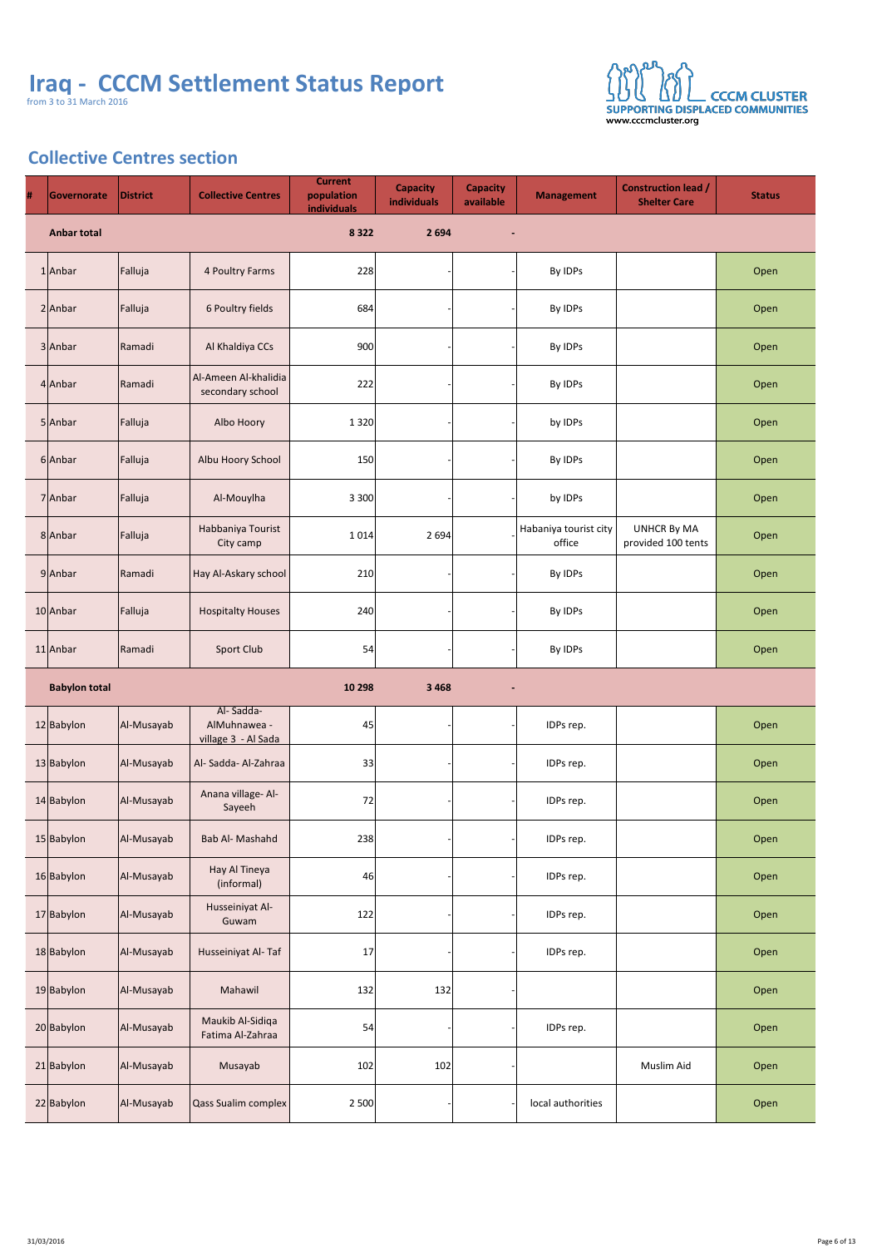

# **Collective Centres section**

| # | <b>Governorate</b>   | <b>District</b> | <b>Collective Centres</b>                        | <b>Current</b><br>population<br><b>individuals</b> | <b>Capacity</b><br><b>individuals</b> | <b>Capacity</b><br>available | <b>Management</b>               | <b>Construction lead /</b><br><b>Shelter Care</b> | <b>Status</b> |
|---|----------------------|-----------------|--------------------------------------------------|----------------------------------------------------|---------------------------------------|------------------------------|---------------------------------|---------------------------------------------------|---------------|
|   | <b>Anbar total</b>   |                 |                                                  | 8 3 2 2                                            | 2 6 9 4                               | $\blacksquare$               |                                 |                                                   |               |
|   | $1$  Anbar           | Falluja         | 4 Poultry Farms                                  | 228                                                |                                       |                              | By IDPs                         |                                                   | Open          |
|   | $2$ Anbar            | Falluja         | 6 Poultry fields                                 | 684                                                |                                       |                              | By IDPs                         |                                                   | Open          |
|   | 3 Anbar              | Ramadi          | Al Khaldiya CCs                                  | 900                                                |                                       |                              | By IDPs                         |                                                   | Open          |
|   | $4$ Anbar            | Ramadi          | Al-Ameen Al-khalidia<br>secondary school         | 222                                                |                                       |                              | By IDPs                         |                                                   | Open          |
|   | $5$ Anbar            | Falluja         | Albo Hoory                                       | 1 3 2 0                                            |                                       |                              | by IDPs                         |                                                   | Open          |
|   | 6 Anbar              | Falluja         | Albu Hoory School                                | 150                                                |                                       |                              | By IDPs                         |                                                   | Open          |
|   | 7 Anbar              | Falluja         | Al-Mouylha                                       | 3 3 0 0                                            |                                       |                              | by IDPs                         |                                                   | Open          |
|   | 8 Anbar              | Falluja         | Habbaniya Tourist<br>City camp                   | 1014                                               | 2694                                  |                              | Habaniya tourist city<br>office | <b>UNHCR By MA</b><br>provided 100 tents          | Open          |
|   | 9 Anbar              | Ramadi          | Hay Al-Askary school                             | 210                                                |                                       |                              | By IDPs                         |                                                   | Open          |
|   | $10$  Anbar          | Falluja         | <b>Hospitalty Houses</b>                         | 240                                                |                                       |                              | By IDPs                         |                                                   | Open          |
|   | 11 Anbar             | Ramadi          | <b>Sport Club</b>                                | 54                                                 |                                       |                              | By IDPs                         |                                                   | Open          |
|   | <b>Babylon total</b> |                 |                                                  | 10 298                                             | 3 4 6 8                               | $\blacksquare$               |                                 |                                                   |               |
|   | 12 Babylon           | Al-Musayab      | Al-Sadda-<br>AlMuhnawea -<br>village 3 - Al Sada | 45                                                 |                                       |                              | IDPs rep.                       |                                                   | Open          |
|   | 13 Babylon           | Al-Musayab      | Al-Sadda-Al-Zahraa                               | 33                                                 |                                       |                              | IDPs rep.                       |                                                   | Open          |
|   | 14 Babylon           | Al-Musayab      | Anana village- Al-<br>Sayeeh                     | 72                                                 |                                       |                              | IDPs rep.                       |                                                   | Open          |
|   | 15 Babylon           | Al-Musayab      | <b>Bab Al- Mashahd</b>                           | 238                                                |                                       |                              | IDPs rep.                       |                                                   | Open          |
|   | 16 Babylon           | Al-Musayab      | Hay Al Tineya<br>(informal)                      | 46                                                 |                                       |                              | IDPs rep.                       |                                                   | Open          |
|   | 17 Babylon           | Al-Musayab      | Husseiniyat Al-<br>Guwam                         | 122                                                |                                       |                              | IDPs rep.                       |                                                   | Open          |
|   | 18 Babylon           | Al-Musayab      | Husseiniyat Al-Taf                               | 17                                                 |                                       |                              | IDPs rep.                       |                                                   | Open          |
|   | 19 Babylon           | Al-Musayab      | Mahawil                                          | 132                                                | 132                                   |                              |                                 |                                                   | Open          |
|   | 20 Babylon           | Al-Musayab      | Maukib Al-Sidiqa<br>Fatima Al-Zahraa             | 54                                                 |                                       |                              | IDPs rep.                       |                                                   | Open          |
|   | 21 Babylon           | Al-Musayab      | Musayab                                          | 102                                                | 102                                   |                              |                                 | <b>Muslim Aid</b>                                 | Open          |
|   | 22 Babylon           | Al-Musayab      | Qass Sualim complex                              | 2 500                                              |                                       |                              | local authorities               |                                                   | Open          |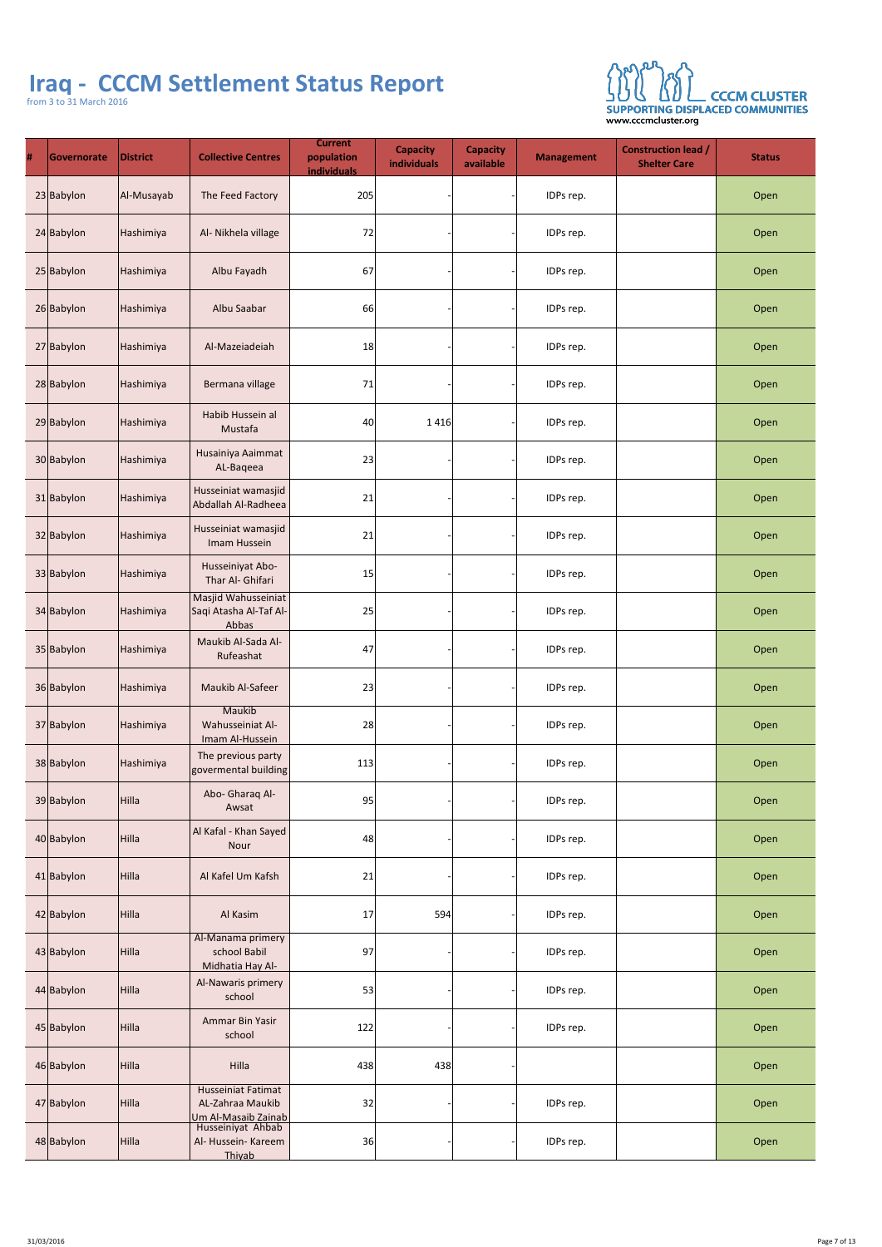

| # | Governorate | <b>District</b> | <b>Collective Centres</b>                                            | <b>Current</b><br>population<br><b>individuals</b> | <b>Capacity</b><br><b>individuals</b> | <b>Capacity</b><br>available | <b>Management</b> | <b>Construction lead /</b><br><b>Shelter Care</b> | <b>Status</b> |
|---|-------------|-----------------|----------------------------------------------------------------------|----------------------------------------------------|---------------------------------------|------------------------------|-------------------|---------------------------------------------------|---------------|
|   | 23 Babylon  | Al-Musayab      | The Feed Factory                                                     | 205                                                |                                       |                              | IDPs rep.         |                                                   | Open          |
|   | 24 Babylon  | Hashimiya       | Al- Nikhela village                                                  | 72                                                 |                                       |                              | IDPs rep.         |                                                   | Open          |
|   | 25 Babylon  | Hashimiya       | Albu Fayadh                                                          | 67                                                 |                                       |                              | IDPs rep.         |                                                   | Open          |
|   | 26 Babylon  | Hashimiya       | Albu Saabar                                                          | 66                                                 |                                       |                              | IDPs rep.         |                                                   | Open          |
|   | 27 Babylon  | Hashimiya       | Al-Mazeiadeiah                                                       | 18                                                 |                                       |                              | IDPs rep.         |                                                   | Open          |
|   | 28 Babylon  | Hashimiya       | Bermana village                                                      | 71                                                 |                                       |                              | IDPs rep.         |                                                   | Open          |
|   | 29 Babylon  | Hashimiya       | Habib Hussein al<br>Mustafa                                          | 40 <sup>°</sup>                                    | 1416                                  |                              | IDPs rep.         |                                                   | Open          |
|   | 30 Babylon  | Hashimiya       | Husainiya Aaimmat<br>AL-Baqeea                                       | 23                                                 |                                       |                              | IDPs rep.         |                                                   | Open          |
|   | 31 Babylon  | Hashimiya       | Husseiniat wamasjid<br>Abdallah Al-Radheea                           | 21                                                 |                                       |                              | IDPs rep.         |                                                   | Open          |
|   | 32 Babylon  | Hashimiya       | Husseiniat wamasjid<br>Imam Hussein                                  | 21                                                 |                                       |                              | IDPs rep.         |                                                   | Open          |
|   | 33 Babylon  | Hashimiya       | Husseiniyat Abo-<br>Thar Al- Ghifari                                 | 15                                                 |                                       |                              | IDPs rep.         |                                                   | Open          |
|   | 34 Babylon  | Hashimiya       | Masjid Wahusseiniat<br>Saqi Atasha Al-Taf Al-<br>Abbas               | 25                                                 |                                       |                              | IDPs rep.         |                                                   | Open          |
|   | 35 Babylon  | Hashimiya       | Maukib Al-Sada Al-<br>Rufeashat                                      | 47                                                 |                                       |                              | IDPs rep.         |                                                   | Open          |
|   | 36 Babylon  | Hashimiya       | <b>Maukib Al-Safeer</b>                                              | 23                                                 |                                       |                              | IDPs rep.         |                                                   | Open          |
|   | 37 Babylon  | Hashimiya       | Maukib<br><b>Wahusseiniat Al-</b><br>Imam Al-Hussein                 | 28                                                 |                                       |                              | IDPs rep.         |                                                   | Open          |
|   | 38 Babylon  | Hashimiya       | The previous party<br>govermental building                           | 113                                                |                                       |                              | IDPs rep.         |                                                   | Open          |
|   | 39 Babylon  | Hilla           | Abo- Gharaq Al-<br>Awsat                                             | 95                                                 |                                       |                              | IDPs rep.         |                                                   | Open          |
|   | 40 Babylon  | Hilla           | Al Kafal - Khan Sayed<br>Nour                                        | 48                                                 |                                       |                              | IDPs rep.         |                                                   | Open          |
|   | 41 Babylon  | Hilla           | Al Kafel Um Kafsh                                                    | 21                                                 |                                       |                              | IDPs rep.         |                                                   | Open          |
|   | 42 Babylon  | Hilla           | Al Kasim                                                             | 17                                                 | 594                                   |                              | IDPs rep.         |                                                   | Open          |
|   | 43 Babylon  | Hilla           | Al-Manama primery<br>school Babil<br>Midhatia Hay Al-                | 97                                                 |                                       |                              | IDPs rep.         |                                                   | Open          |
|   | 44 Babylon  | Hilla           | <b>Al-Nawaris primery</b><br>school                                  | 53                                                 |                                       |                              | IDPs rep.         |                                                   | Open          |
|   | 45 Babylon  | Hilla           | Ammar Bin Yasir<br>school                                            | $122$                                              |                                       |                              | IDPs rep.         |                                                   | Open          |
|   | 46 Babylon  | Hilla           | Hilla                                                                | 438                                                | 438                                   |                              |                   |                                                   | Open          |
|   | 47 Babylon  | Hilla           | <b>Husseiniat Fatimat</b><br>AL-Zahraa Maukib<br>Um Al-Masaib Zainab | 32                                                 |                                       |                              | IDPs rep.         |                                                   | Open          |
|   | 48 Babylon  | Hilla           | Husseiniyat Ahbab<br>Al- Hussein- Kareem<br>Thiyab                   | 36                                                 |                                       |                              | IDPs rep.         |                                                   | Open          |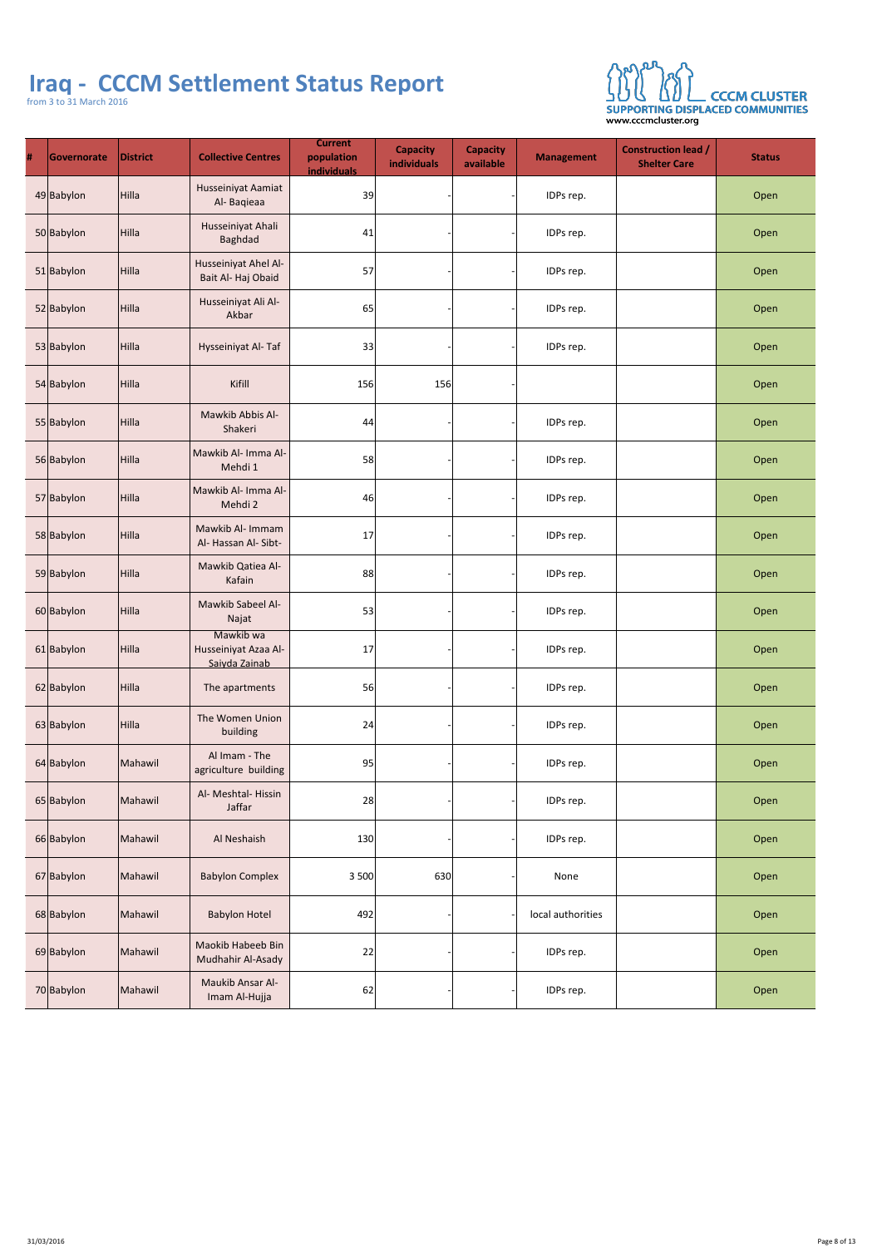

| # | <b>Governorate</b> | <b>District</b> | <b>Collective Centres</b>                            | <b>Current</b><br>population<br><b>individuals</b> | <b>Capacity</b><br>individuals | <b>Capacity</b><br><b>Management</b><br>available | <b>Construction lead /</b><br><b>Shelter Care</b> | <b>Status</b> |
|---|--------------------|-----------------|------------------------------------------------------|----------------------------------------------------|--------------------------------|---------------------------------------------------|---------------------------------------------------|---------------|
|   | 49 Babylon         | Hilla           | <b>Husseiniyat Aamiat</b><br>Al-Baqieaa              | 39                                                 |                                | IDPs rep.                                         |                                                   | Open          |
|   | 50 Babylon         | Hilla           | Husseiniyat Ahali<br><b>Baghdad</b>                  | 41                                                 |                                | IDPs rep.                                         |                                                   | Open          |
|   | 51 Babylon         | Hilla           | <b>Husseiniyat Ahel Al-</b><br>Bait Al-Haj Obaid     | 57                                                 |                                | IDPs rep.                                         |                                                   | Open          |
|   | 52 Babylon         | Hilla           | Husseiniyat Ali Al-<br>Akbar                         | 65                                                 |                                | IDPs rep.                                         |                                                   | Open          |
|   | 53 Babylon         | Hilla           | Hysseiniyat Al-Taf                                   | 33                                                 |                                | IDPs rep.                                         |                                                   | Open          |
|   | 54 Babylon         | Hilla           | Kifill                                               | 156                                                | 156                            |                                                   |                                                   | Open          |
|   | 55 Babylon         | Hilla           | Mawkib Abbis Al-<br>Shakeri                          | 44                                                 |                                | IDPs rep.                                         |                                                   | Open          |
|   | 56 Babylon         | Hilla           | Mawkib Al- Imma Al-<br>Mehdi 1                       | 58                                                 |                                | IDPs rep.                                         |                                                   | Open          |
|   | 57 Babylon         | Hilla           | Mawkib Al- Imma Al-<br>Mehdi 2                       | 46                                                 |                                | IDPs rep.                                         |                                                   | Open          |
|   | 58 Babylon         | Hilla           | Mawkib Al- Immam<br>Al- Hassan Al- Sibt-             | 17                                                 |                                | IDPs rep.                                         |                                                   | Open          |
|   | 59 Babylon         | Hilla           | <b>Mawkib Qatiea Al-</b><br>Kafain                   | 88                                                 |                                | IDPs rep.                                         |                                                   | Open          |
|   | 60 Babylon         | Hilla           | <b>Mawkib Sabeel Al-</b><br>Najat                    | 53                                                 |                                | IDPs rep.                                         |                                                   | Open          |
|   | 61 Babylon         | Hilla           | Mawkib wa<br>Husseiniyat Azaa Al-<br>Saiyda Zainab   | 17                                                 |                                | IDPs rep.                                         |                                                   | Open          |
|   | 62 Babylon         | Hilla           | The apartments                                       | 56                                                 |                                | IDPs rep.                                         |                                                   | Open          |
|   | 63 Babylon         | Hilla           | <b>The Women Union</b><br>building                   | 24                                                 |                                | IDPs rep.                                         |                                                   | Open          |
|   | 64 Babylon         | Mahawil         | Al Imam - The<br>agriculture building                | 95                                                 |                                | IDPs rep.                                         |                                                   | Open          |
|   | 65 Babylon         | Mahawil         | Al- Meshtal-Hissin<br>Jaffar                         | 28                                                 |                                | IDPs rep.                                         |                                                   | Open          |
|   | 66 Babylon         | Mahawil         | Al Neshaish                                          | 130                                                |                                | IDPs rep.                                         |                                                   | Open          |
|   | 67 Babylon         | Mahawil         | <b>Babylon Complex</b>                               | 3 500                                              | 630                            | None                                              |                                                   | Open          |
|   | 68 Babylon         | Mahawil         | <b>Babylon Hotel</b>                                 | 492                                                |                                | local authorities                                 |                                                   | Open          |
|   | 69 Babylon         | Mahawil         | <b>Maokib Habeeb Bin</b><br><b>Mudhahir Al-Asady</b> | 22                                                 |                                | IDPs rep.                                         |                                                   | Open          |
|   | 70 Babylon         | Mahawil         | <b>Maukib Ansar Al-</b><br>Imam Al-Hujja             | 62                                                 |                                | IDPs rep.                                         |                                                   | Open          |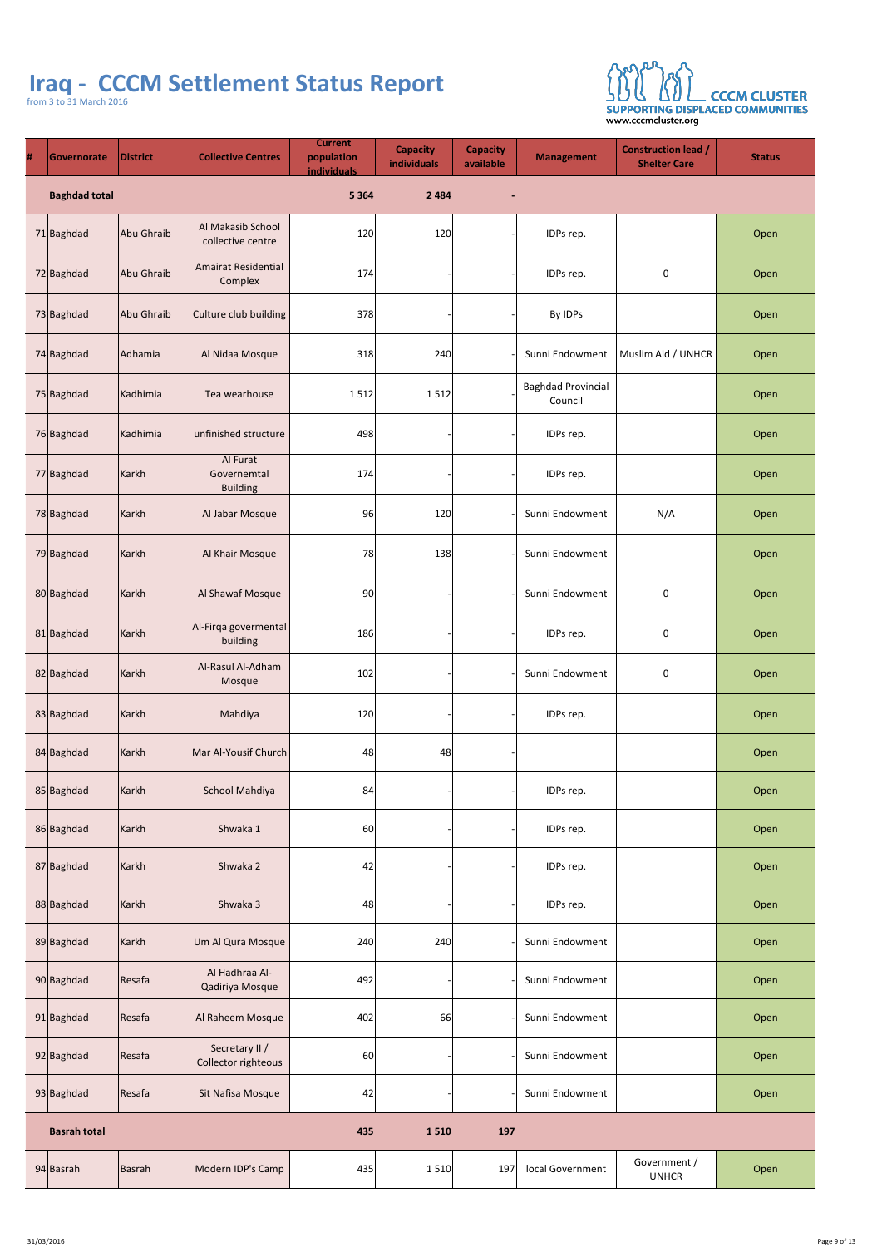

| $\pmb{\#}$ | Governorate          | <b>District</b> | <b>Collective Centres</b>                  | <b>Current</b><br>population<br><b>individuals</b> | <b>Capacity</b><br>individuals | <b>Capacity</b><br>available | <b>Management</b>                    | <b>Construction lead /</b><br><b>Shelter Care</b> | <b>Status</b> |
|------------|----------------------|-----------------|--------------------------------------------|----------------------------------------------------|--------------------------------|------------------------------|--------------------------------------|---------------------------------------------------|---------------|
|            | <b>Baghdad total</b> |                 |                                            | 5 3 6 4                                            | 2 4 8 4                        | $\blacksquare$               |                                      |                                                   |               |
|            | 71 Baghdad           | Abu Ghraib      | Al Makasib School<br>collective centre     | 120                                                | 120                            |                              | IDPs rep.                            |                                                   | Open          |
|            | 72 Baghdad           | Abu Ghraib      | <b>Amairat Residential</b><br>Complex      | 174                                                |                                |                              | IDPs rep.                            | $\overline{0}$                                    | Open          |
|            | 73 Baghdad           | Abu Ghraib      | Culture club building                      | 378                                                |                                |                              | By IDPs                              |                                                   | Open          |
|            | 74 Baghdad           | Adhamia         | Al Nidaa Mosque                            | 318                                                | 240                            |                              | Sunni Endowment                      | Muslim Aid / UNHCR                                | Open          |
|            | 75 Baghdad           | Kadhimia        | Tea wearhouse                              | 1512                                               | 1512                           |                              | <b>Baghdad Provincial</b><br>Council |                                                   | Open          |
|            | 76 Baghdad           | Kadhimia        | unfinished structure                       | 498                                                |                                |                              | IDPs rep.                            |                                                   | Open          |
|            | 77 Baghdad           | Karkh           | Al Furat<br>Governemtal<br><b>Building</b> | 174                                                |                                |                              | IDPs rep.                            |                                                   | Open          |
|            | 78 Baghdad           | Karkh           | Al Jabar Mosque                            | 96                                                 | 120                            |                              | Sunni Endowment                      | N/A                                               | Open          |
|            | 79 Baghdad           | Karkh           | Al Khair Mosque                            | 78                                                 | 138                            |                              | Sunni Endowment                      |                                                   | Open          |
|            | 80 Baghdad           | Karkh           | Al Shawaf Mosque                           | 90                                                 |                                |                              | Sunni Endowment                      | $\overline{0}$                                    | Open          |
|            | 81 Baghdad           | Karkh           | Al-Firqa govermental<br>building           | 186                                                |                                |                              | IDPs rep.                            | $\mathbf 0$                                       | Open          |
|            | 82 Baghdad           | Karkh           | Al-Rasul Al-Adham<br>Mosque                | 102                                                |                                |                              | Sunni Endowment                      | $\boldsymbol{0}$                                  | Open          |
|            | 83 Baghdad           | Karkh           | Mahdiya                                    | 120                                                |                                |                              | IDPs rep.                            |                                                   | Open          |
|            | 84 Baghdad           | Karkh           | Mar Al-Yousif Church                       | 48                                                 | 48                             |                              |                                      |                                                   | Open          |
|            | 85 Baghdad           | Karkh           | <b>School Mahdiya</b>                      | 84                                                 |                                |                              | IDPs rep.                            |                                                   | Open          |
|            | 86 Baghdad           | Karkh           | Shwaka 1                                   | 60                                                 |                                |                              | IDPs rep.                            |                                                   | Open          |
|            | 87 Baghdad           | Karkh           | Shwaka 2                                   | 42                                                 |                                |                              | IDPs rep.                            |                                                   | Open          |
|            | 88 Baghdad           | Karkh           | Shwaka 3                                   | 48                                                 |                                |                              | IDPs rep.                            |                                                   | Open          |
|            | 89 Baghdad           | Karkh           | Um Al Qura Mosque                          | 240                                                | 240                            |                              | Sunni Endowment                      |                                                   | Open          |
|            | 90 Baghdad           | Resafa          | Al Hadhraa Al-<br><b>Qadiriya Mosque</b>   | 492                                                |                                |                              | Sunni Endowment                      |                                                   | Open          |
|            | $91$ Baghdad         | Resafa          | Al Raheem Mosque                           | 402                                                | 66                             |                              | Sunni Endowment                      |                                                   | Open          |
|            | $92$ Baghdad         | Resafa          | Secretary II /<br>Collector righteous      | 60                                                 |                                |                              | Sunni Endowment                      |                                                   | Open          |
|            | 93 Baghdad           | Resafa          | Sit Nafisa Mosque                          | 42                                                 |                                |                              | Sunni Endowment                      |                                                   | Open          |
|            | <b>Basrah total</b>  |                 |                                            | 435                                                | 1510                           | <b>197</b>                   |                                      |                                                   |               |
|            | $94$ Basrah          | Basrah          | Modern IDP's Camp                          | 435                                                | 1 5 1 0                        | <b>197</b>                   | local Government                     | Government /<br><b>UNHCR</b>                      | Open          |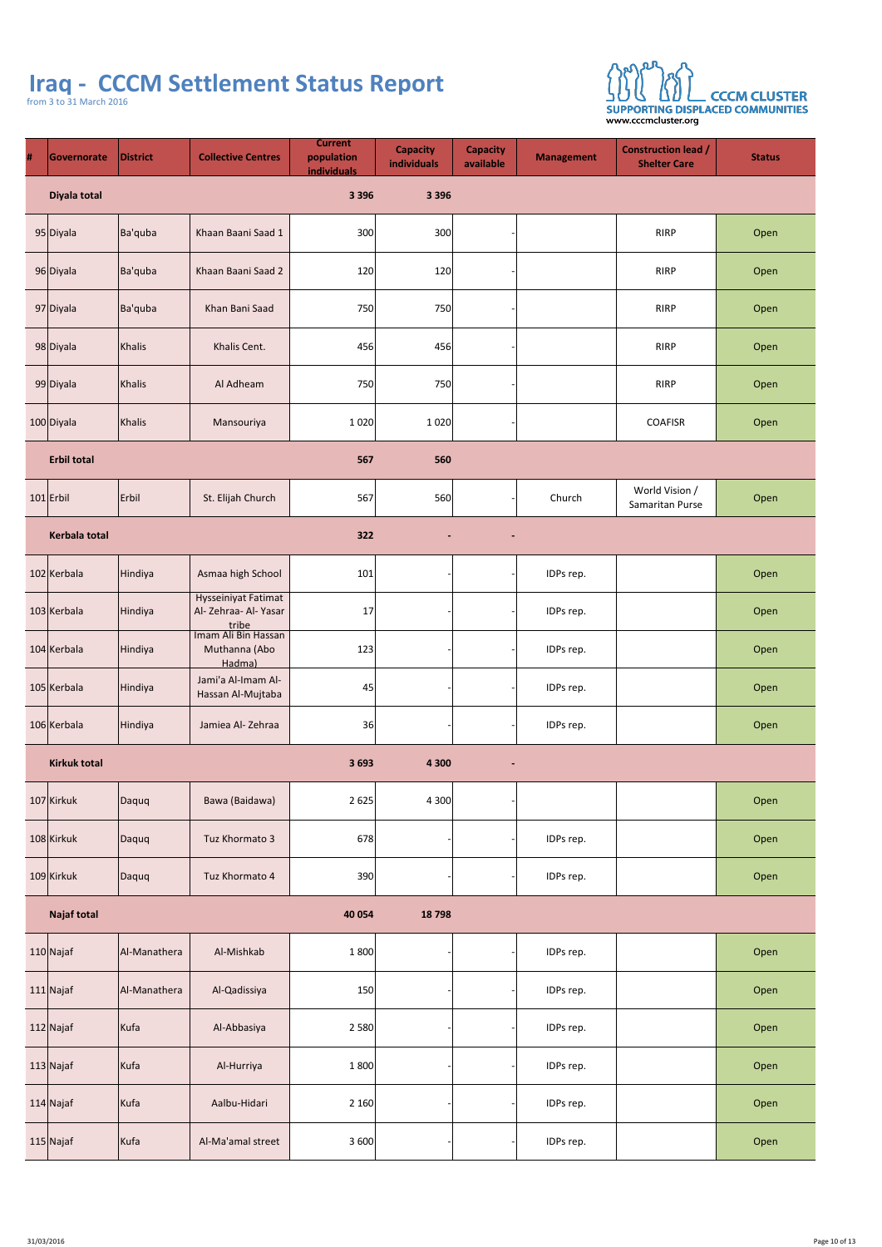

| # | <b>Governorate</b> | <b>District</b> | <b>Collective Centres</b> | <b>Current</b><br>population<br><b>individuals</b> | <b>Capacity</b><br>individuals | <b>Capacity</b><br>available | <b>Management</b> | <b>Construction lead /</b><br><b>Shelter Care</b> | <b>Status</b> |
|---|--------------------|-----------------|---------------------------|----------------------------------------------------|--------------------------------|------------------------------|-------------------|---------------------------------------------------|---------------|
|   | Diyala total       |                 |                           | 3 3 9 6                                            | 3 3 9 6                        |                              |                   |                                                   |               |
|   | 95 Diyala          | Ba'quba         | Khaan Baani Saad 1        | 300                                                | 300                            |                              |                   | <b>RIRP</b>                                       | Open          |
|   | 96 Diyala          | Ba'quba         | Khaan Baani Saad 2        | 120                                                | 120                            |                              |                   | <b>RIRP</b>                                       | Open          |
|   | 97 Diyala          | Ba'quba         | Khan Bani Saad            | 750                                                | 750                            |                              |                   | <b>RIRP</b>                                       | Open          |
|   | 98 Diyala          | Khalis          | Khalis Cent.              | 456                                                | 456                            |                              |                   | <b>RIRP</b>                                       | Open          |
|   | 99 Diyala          | Khalis          | Al Adheam                 | 750                                                | 750                            |                              |                   | <b>RIRP</b>                                       | Open          |
|   | 100 Diyala         | Khalis          | Mansouriya                | 1020                                               | 1020                           |                              |                   | <b>COAFISR</b>                                    | Open          |
|   | <b>Erbil total</b> |                 |                           | 567                                                | 560                            |                              |                   |                                                   |               |

| $101$ Erbil         | Erbil        | St. Elijah Church                                         | 567     | 560                              | Church    | World Vision /<br><b>Samaritan Purse</b> | Open |
|---------------------|--------------|-----------------------------------------------------------|---------|----------------------------------|-----------|------------------------------------------|------|
| Kerbala total       |              |                                                           | 322     | $\blacksquare$<br>$\blacksquare$ |           |                                          |      |
| 102 Kerbala         | Hindiya      | Asmaa high School                                         | 101     |                                  | IDPs rep. |                                          | Open |
| 103 Kerbala         | Hindiya      | <b>Hysseiniyat Fatimat</b><br>Al-Zehraa-Al-Yasar<br>tribe | 17      |                                  | IDPs rep. |                                          | Open |
| 104 Kerbala         | Hindiya      | Imam Ali Bin Hassan<br>Muthanna (Abo<br>Hadma)            | 123     |                                  | IDPs rep. |                                          | Open |
| 105 Kerbala         | Hindiya      | Jami'a Al-Imam Al-<br>Hassan Al-Mujtaba                   | 45      |                                  | IDPs rep. |                                          | Open |
| 106 Kerbala         | Hindiya      | Jamiea Al-Zehraa                                          | 36      |                                  | IDPs rep. |                                          | Open |
| <b>Kirkuk total</b> |              |                                                           | 3693    | 4 3 0 0<br>$\blacksquare$        |           |                                          |      |
| 107 Kirkuk          | Daquq        | Bawa (Baidawa)                                            | 2625    | 4 300                            |           |                                          | Open |
| 108 Kirkuk          | Daquq        | Tuz Khormato 3                                            | 678     |                                  | IDPs rep. |                                          | Open |
| 109 Kirkuk          | Daquq        | Tuz Khormato 4                                            | 390     |                                  | IDPs rep. |                                          | Open |
| <b>Najaf total</b>  |              |                                                           | 40 054  | 18798                            |           |                                          |      |
| $110$ Najaf         | Al-Manathera | Al-Mishkab                                                | 1 800   |                                  | IDPs rep. |                                          | Open |
| $111$  Najaf        | Al-Manathera | Al-Qadissiya                                              | 150     |                                  | IDPs rep. |                                          | Open |
| $112$ Najaf         | Kufa         | Al-Abbasiya                                               | 2 5 8 0 |                                  | IDPs rep. |                                          | Open |
| $113$ Najaf         | Kufa         | Al-Hurriya                                                | 1 800   |                                  | IDPs rep. |                                          | Open |
| $114$ Najaf         | Kufa         | Aalbu-Hidari                                              | 2160    |                                  | IDPs rep. |                                          | Open |
| $115$ Najaf         | Kufa         | Al-Ma'amal street                                         | 3 600   |                                  | IDPs rep. |                                          | Open |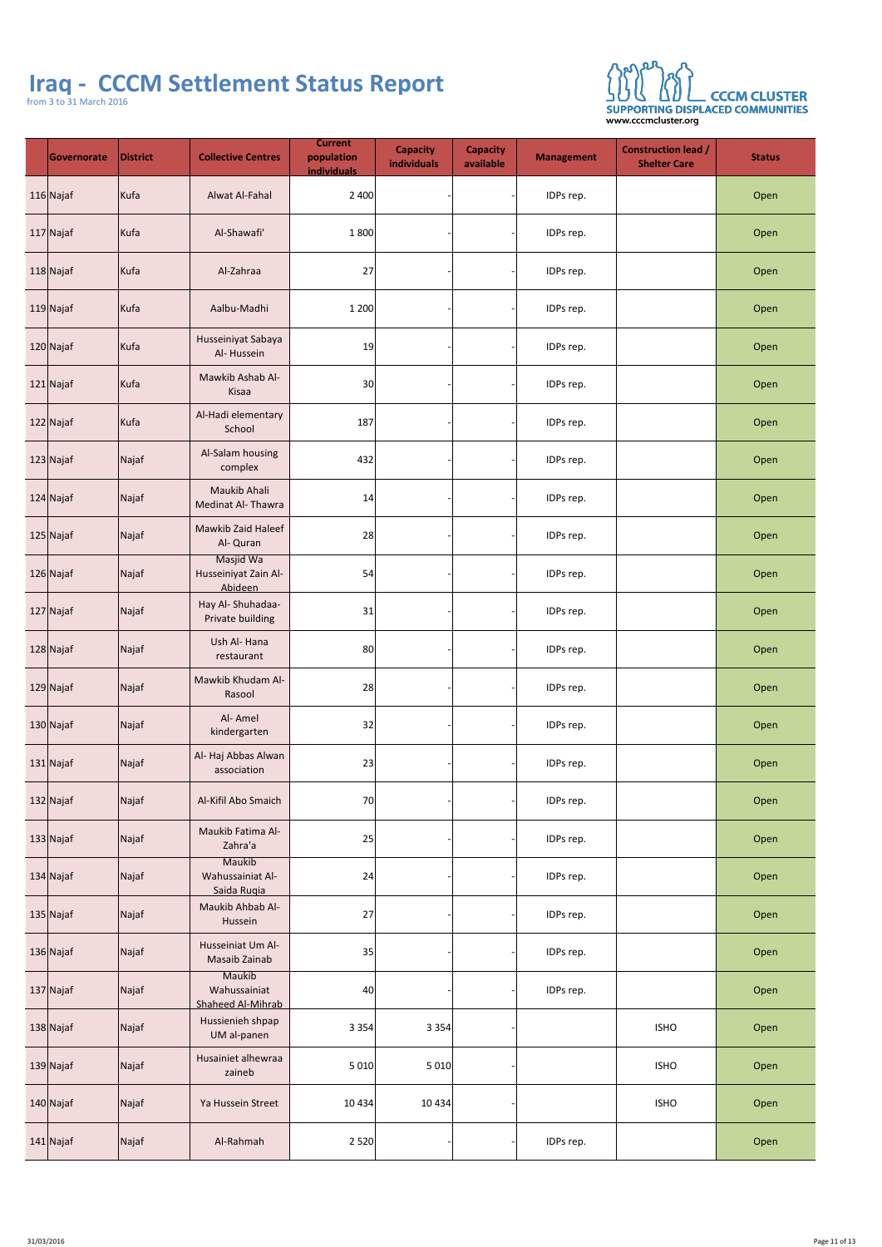# **Iraq - CCCM Settlement Status Report**



from 3 to 31 March 2016

| Governorate  | <b>District</b>         | <b>Collective Centres</b>                          | <b>Current</b><br>population<br><b>individuals</b> | <b>Capacity</b><br>individuals | <b>Capacity</b><br>available | Management | <b>Construction lead /</b><br><b>Shelter Care</b> | <b>Status</b> |
|--------------|-------------------------|----------------------------------------------------|----------------------------------------------------|--------------------------------|------------------------------|------------|---------------------------------------------------|---------------|
| 116 Najaf    | Kufa                    | <b>Alwat Al-Fahal</b>                              | 2 4 0 0                                            |                                |                              | IDPs rep.  |                                                   | Open          |
| 117 Najaf    | Kufa                    | Al-Shawafi'                                        | 1 800                                              |                                |                              | IDPs rep.  |                                                   | Open          |
| $118$ Najaf  | Kufa                    | Al-Zahraa                                          | 27                                                 |                                |                              | IDPs rep.  |                                                   | Open          |
| 119 Najaf    | Kufa                    | Aalbu-Madhi                                        | 1 200                                              |                                |                              | IDPs rep.  |                                                   | Open          |
| 120 Najaf    | Kufa                    | Husseiniyat Sabaya<br>Al-Hussein                   | 19                                                 |                                |                              | IDPs rep.  |                                                   | Open          |
| $121$  Najaf | Kufa                    | Mawkib Ashab Al-<br>Kisaa                          | 30                                                 |                                |                              | IDPs rep.  |                                                   | Open          |
| $122$  Najaf | Kufa                    | Al-Hadi elementary<br>School                       | 187                                                |                                |                              | IDPs rep.  |                                                   | Open          |
| $123$ Najaf  | Najaf                   | Al-Salam housing<br>complex                        | 432                                                |                                |                              | IDPs rep.  |                                                   | Open          |
| $124$ Najaf  | Najaf                   | <b>Maukib Ahali</b><br><b>Medinat Al-Thawra</b>    | 14                                                 |                                |                              | IDPs rep.  |                                                   | Open          |
| 125 Najaf    | Najaf                   | <b>Mawkib Zaid Haleef</b><br>Al- Quran             | 28                                                 |                                |                              | IDPs rep.  |                                                   | Open          |
| $126$ Najaf  | Najaf                   | Masjid Wa<br>Husseiniyat Zain Al-<br>Abideen       | 54                                                 |                                |                              | IDPs rep.  |                                                   | Open          |
| 127 Najaf    | Najaf                   | Hay Al-Shuhadaa-<br><b>Private building</b>        | 31                                                 |                                |                              | IDPs rep.  |                                                   | Open          |
| $128$ Najaf  | Najaf                   | Ush Al-Hana<br>restaurant                          | 80                                                 |                                |                              | IDPs rep.  |                                                   | Open          |
| $129$ Najaf  | Najaf                   | Mawkib Khudam Al-<br>Rasool                        | 28                                                 |                                |                              | IDPs rep.  |                                                   | Open          |
| $130$ Najaf  | Najaf                   | Al-Amel<br>kindergarten                            | 32                                                 |                                |                              | IDPs rep.  |                                                   | Open          |
| $131$ Najaf  | Najaf                   | Al- Haj Abbas Alwan<br>association                 | 23                                                 |                                |                              | IDPs rep.  |                                                   | Open          |
| 132 Najaf    | Najaf                   | <b>Al-Kifil Abo Smaich</b>                         | 70                                                 |                                |                              | IDPs rep.  |                                                   | Open          |
| $133$ Najaf  | Najaf                   | <b>Maukib Fatima Al-</b><br>Zahra'a                | 25                                                 |                                |                              | IDPs rep.  |                                                   | Open          |
| $134$ Najaf  | $\sqrt{\mathsf{Najaf}}$ | Maukib<br>Wahussainiat Al-<br>Saida Rugia          | 24                                                 |                                |                              | IDPs rep.  |                                                   | Open          |
| $135$ Najaf  | Najaf                   | Maukib Ahbab Al-<br>Hussein                        | 27                                                 |                                |                              | IDPs rep.  |                                                   | Open          |
| $136$ Najaf  | Najaf                   | Husseiniat Um Al-<br><b>Masaib Zainab</b>          | 35                                                 |                                |                              | IDPs rep.  |                                                   | Open          |
| $137$ Najaf  | Najaf                   | Maukib<br>Wahussainiat<br><b>Shaheed Al-Mihrab</b> | 40 <sup>°</sup>                                    |                                |                              | IDPs rep.  |                                                   | Open          |
| 138 Najaf    | Najaf                   | Hussienieh shpap<br>UM al-panen                    | 3354                                               | 3354                           |                              |            | <b>ISHO</b>                                       | Open          |
| $139$ Najaf  | Najaf                   | Husainiet alhewraa<br>zaineb                       | 5010                                               | 5010                           |                              |            | <b>ISHO</b>                                       | Open          |
| $140$ Najaf  | Najaf                   | Ya Hussein Street                                  | 10434                                              | 10434                          |                              |            | <b>ISHO</b>                                       | Open          |
| $141$ Najaf  | Najaf                   | Al-Rahmah                                          | 2 520                                              |                                |                              | IDPs rep.  |                                                   | Open          |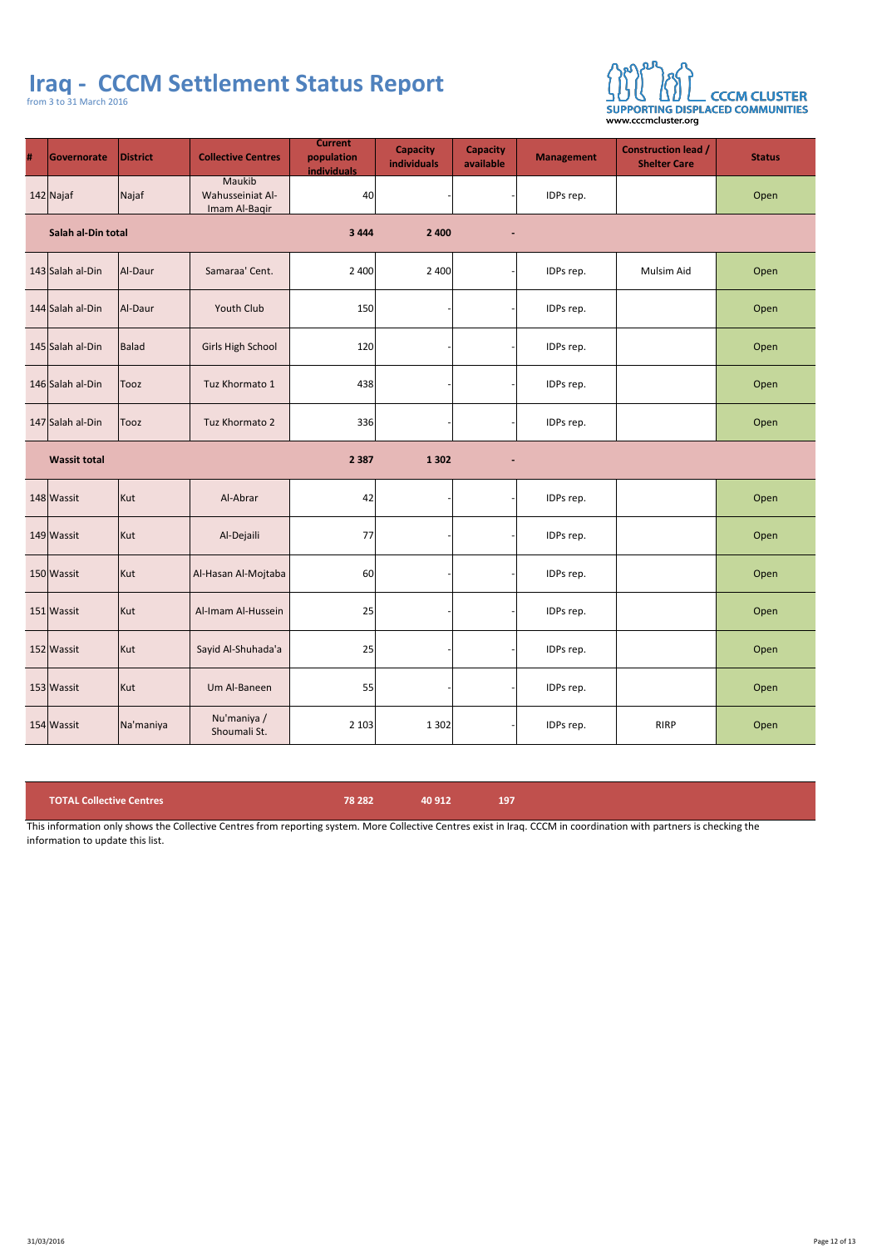

| #                                                          | Governorate             | <b>District</b> | <b>Collective Centres</b>                                 | <b>Current</b><br>population<br><b>individuals</b> | <b>Capacity</b><br>individuals | <b>Capacity</b><br>available | <b>Management</b> | <b>Construction lead /</b><br><b>Shelter Care</b> | <b>Status</b> |
|------------------------------------------------------------|-------------------------|-----------------|-----------------------------------------------------------|----------------------------------------------------|--------------------------------|------------------------------|-------------------|---------------------------------------------------|---------------|
|                                                            | $142$ Najaf             | Najaf           | <b>Maukib</b><br><b>Wahusseiniat Al-</b><br>Imam Al-Bagir | 40                                                 |                                |                              | IDPs rep.         |                                                   | Open          |
| Salah al-Din total<br>2 4 0 0<br>3 4 4 4<br>$\blacksquare$ |                         |                 |                                                           |                                                    |                                |                              |                   |                                                   |               |
|                                                            | 143 Salah al-Din        | Al-Daur         | Samaraa' Cent.                                            | 2 4 0 0                                            | 2 4 0 0                        |                              | IDPs rep.         | <b>Mulsim Aid</b>                                 | Open          |
|                                                            | 144 Salah al-Din        | Al-Daur         | <b>Youth Club</b>                                         | 150                                                |                                |                              | IDPs rep.         |                                                   | Open          |
|                                                            | 145 Salah al-Din        | Balad           | <b>Girls High School</b>                                  | 120                                                |                                |                              | IDPs rep.         |                                                   | Open          |
|                                                            | 146 Salah al-Din   Tooz |                 | Tuz Khormato 1                                            | 438                                                |                                |                              | IDPs rep.         |                                                   | Open          |
|                                                            | 147 Salah al-Din        | Tooz            | Tuz Khormato 2                                            | 336                                                |                                |                              | IDPs rep.         |                                                   | Open          |
|                                                            | <b>Wassit total</b>     |                 |                                                           | 2 3 8 7                                            | 1 3 0 2                        | $\blacksquare$               |                   |                                                   |               |

| 148 Wassit | Kut       | Al-Abrar                    | 42    |      | IDPs rep. |             | Open |
|------------|-----------|-----------------------------|-------|------|-----------|-------------|------|
| 149 Wassit | Kut       | Al-Dejaili                  | 77    |      | IDPs rep. |             | Open |
| 150 Wassit | Kut       | Al-Hasan Al-Mojtaba         | 60    |      | IDPs rep. |             | Open |
| 151 Wassit | Kut       | Al-Imam Al-Hussein          | 25    |      | IDPs rep. |             | Open |
| 152 Wassit | Kut       | Sayid Al-Shuhada'a          | 25    |      | IDPs rep. |             | Open |
| 153 Wassit | Kut       | Um Al-Baneen                | 55    |      | IDPs rep. |             | Open |
| 154 Wassit | Na'maniya | Nu'maniya /<br>Shoumali St. | 2 103 | 1302 | IDPs rep. | <b>RIRP</b> | Open |

| TOTAL Collective Centres | <b>\78 282 \</b> | 140 9121 |  |
|--------------------------|------------------|----------|--|
|                          |                  |          |  |

This information only shows the Collective Centres from reporting system. More Collective Centres exist in Iraq. CCCM in coordination with partners is checking the information to update this list.